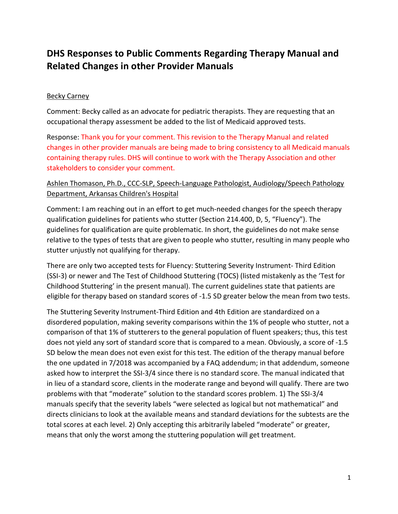# DHS Responses to Public Comments Regarding Therapy Manual and Related Changes in other Provider Manuals

# Becky Carney

Comment: Becky called as an advocate for pediatric therapists. They are requesting that an occupational therapy assessment be added to the list of Medicaid approved tests.

Response: Thank you for your comment. This revision to the Therapy Manual and related changes in other provider manuals are being made to bring consistency to all Medicaid manuals containing therapy rules. DHS will continue to work with the Therapy Association and other stakeholders to consider your comment.

# Ashlen Thomason, Ph.D., CCC-SLP, Speech-Language Pathologist, Audiology/Speech Pathology Department, Arkansas Children's Hospital

Comment: I am reaching out in an effort to get much-needed changes for the speech therapy qualification guidelines for patients who stutter (Section 214.400, D, 5, "Fluency"). The guidelines for qualification are quite problematic. In short, the guidelines do not make sense relative to the types of tests that are given to people who stutter, resulting in many people who stutter unjustly not qualifying for therapy.

There are only two accepted tests for Fluency: Stuttering Severity Instrument- Third Edition (SSI-3) or newer and The Test of Childhood Stuttering (TOCS) (listed mistakenly as the 'Test for Childhood Stuttering' in the present manual). The current guidelines state that patients are eligible for therapy based on standard scores of -1.5 SD greater below the mean from two tests.

The Stuttering Severity Instrument-Third Edition and 4th Edition are standardized on a disordered population, making severity comparisons within the 1% of people who stutter, not a comparison of that 1% of stutterers to the general population of fluent speakers; thus, this test does not yield any sort of standard score that is compared to a mean. Obviously, a score of -1.5 SD below the mean does not even exist for this test. The edition of the therapy manual before the one updated in 7/2018 was accompanied by a FAQ addendum; in that addendum, someone asked how to interpret the SSI-3/4 since there is no standard score. The manual indicated that in lieu of a standard score, clients in the moderate range and beyond will qualify. There are two problems with that "moderate" solution to the standard scores problem. 1) The SSI-3/4 manuals specify that the severity labels "were selected as logical but not mathematical" and directs clinicians to look at the available means and standard deviations for the subtests are the total scores at each level. 2) Only accepting this arbitrarily labeled "moderate" or greater, means that only the worst among the stuttering population will get treatment.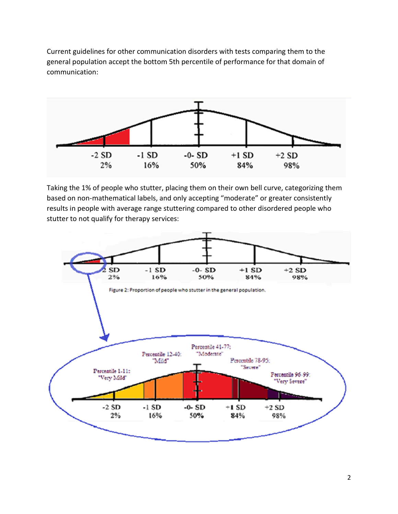Current guidelines for other communication disorders with tests comparing them to the general population accept the bottom 5th percentile of performance for that domain of communication:



Taking the 1% of people who stutter, placing them on their own bell curve, categorizing them based on non-mathematical labels, and only accepting "moderate" or greater consistently results in people with average range stuttering compared to other disordered people who stutter to not qualify for therapy services:

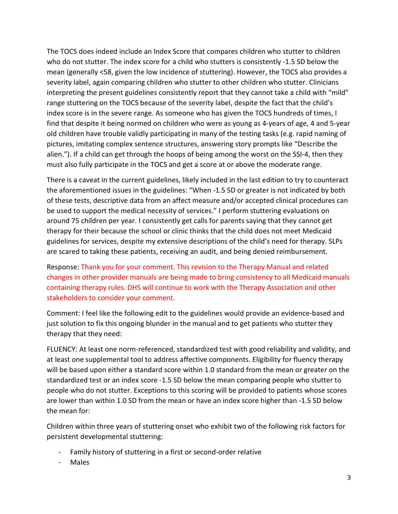The TOCS does indeed include an Index Score that compares children who stutter to children who do not stutter. The index score for a child who stutters is consistently -1.5 SD below the mean (generally <58, given the low incidence of stuttering). However, the TOCS also provides a severity label, again comparing children who stutter to other children who stutter. Clinicians interpreting the present guidelines consistently report that they cannot take a child with "mild" range stuttering on the TOCS because of the severity label, despite the fact that the child's index score is in the severe range. As someone who has given the TOCS hundreds of times, I find that despite it being normed on children who were as young as 4-years of age, 4 and 5-year old children have trouble validly participating in many of the testing tasks (e.g. rapid naming of pictures, imitating complex sentence structures, answering story prompts like "Describe the alien."). If a child can get through the hoops of being among the worst on the SSI-4, then they must also fully participate in the TOCS and get a score at or above the moderate range.

There is a caveat in the current guidelines, likely included in the last edition to try to counteract the aforementioned issues in the guidelines: "When -1.5 SD or greater is not indicated by both of these tests, descriptive data from an affect measure and/or accepted clinical procedures can be used to support the medical necessity of services." I perform stuttering evaluations on around 75 children per year. I consistently get calls for parents saying that they cannot get therapy for their because the school or clinic thinks that the child does not meet Medicaid guidelines for services, despite my extensive descriptions of the child's need for therapy. SLPs are scared to taking these patients, receiving an audit, and being denied reimbursement.

Response: Thank you for your comment. This revision to the Therapy Manual and related changes in other provider manuals are being made to bring consistency to all Medicaid manuals containing therapy rules. DHS will continue to work with the Therapy Association and other stakeholders to consider your comment.

Comment: I feel like the following edit to the guidelines would provide an evidence-based and just solution to fix this ongoing blunder in the manual and to get patients who stutter they therapy that they need:

FLUENCY: At least one norm-referenced, standardized test with good reliability and validity, and at least one supplemental tool to address affective components. Eligibility for fluency therapy will be based upon either a standard score within 1.0 standard from the mean or greater on the standardized test or an index score -1.5 SD below the mean comparing people who stutter to people who do not stutter. Exceptions to this scoring will be provided to patients whose scores are lower than within 1.0 SD from the mean or have an index score higher than -1.5 SD below the mean for:

Children within three years of stuttering onset who exhibit two of the following risk factors for persistent developmental stuttering:

- Family history of stuttering in a first or second-order relative
- **Males**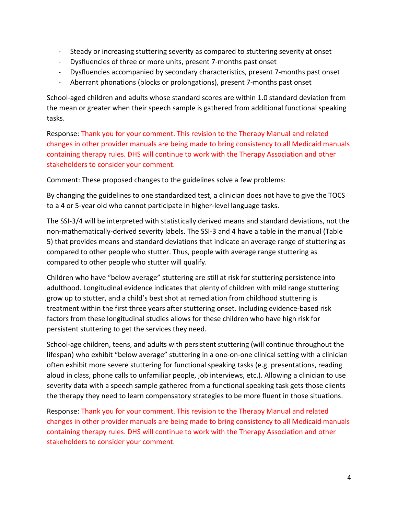- Steady or increasing stuttering severity as compared to stuttering severity at onset
- Dysfluencies of three or more units, present 7-months past onset
- Dysfluencies accompanied by secondary characteristics, present 7-months past onset
- Aberrant phonations (blocks or prolongations), present 7-months past onset

School-aged children and adults whose standard scores are within 1.0 standard deviation from the mean or greater when their speech sample is gathered from additional functional speaking tasks.

Response: Thank you for your comment. This revision to the Therapy Manual and related changes in other provider manuals are being made to bring consistency to all Medicaid manuals containing therapy rules. DHS will continue to work with the Therapy Association and other stakeholders to consider your comment.

Comment: These proposed changes to the guidelines solve a few problems:

By changing the guidelines to one standardized test, a clinician does not have to give the TOCS to a 4 or 5-year old who cannot participate in higher-level language tasks.

The SSI-3/4 will be interpreted with statistically derived means and standard deviations, not the non-mathematically-derived severity labels. The SSI-3 and 4 have a table in the manual (Table 5) that provides means and standard deviations that indicate an average range of stuttering as compared to other people who stutter. Thus, people with average range stuttering as compared to other people who stutter will qualify.

Children who have "below average" stuttering are still at risk for stuttering persistence into adulthood. Longitudinal evidence indicates that plenty of children with mild range stuttering grow up to stutter, and a child's best shot at remediation from childhood stuttering is treatment within the first three years after stuttering onset. Including evidence-based risk factors from these longitudinal studies allows for these children who have high risk for persistent stuttering to get the services they need.

School-age children, teens, and adults with persistent stuttering (will continue throughout the lifespan) who exhibit "below average" stuttering in a one-on-one clinical setting with a clinician often exhibit more severe stuttering for functional speaking tasks (e.g. presentations, reading aloud in class, phone calls to unfamiliar people, job interviews, etc.). Allowing a clinician to use severity data with a speech sample gathered from a functional speaking task gets those clients the therapy they need to learn compensatory strategies to be more fluent in those situations.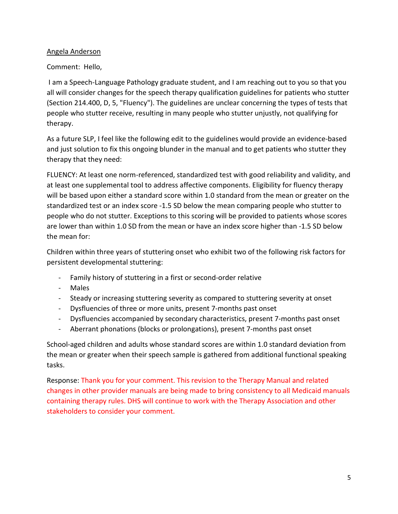### Angela Anderson

# Comment: Hello,

 I am a Speech-Language Pathology graduate student, and I am reaching out to you so that you all will consider changes for the speech therapy qualification guidelines for patients who stutter (Section 214.400, D, 5, "Fluency"). The guidelines are unclear concerning the types of tests that people who stutter receive, resulting in many people who stutter unjustly, not qualifying for therapy.

As a future SLP, I feel like the following edit to the guidelines would provide an evidence-based and just solution to fix this ongoing blunder in the manual and to get patients who stutter they therapy that they need:

FLUENCY: At least one norm-referenced, standardized test with good reliability and validity, and at least one supplemental tool to address affective components. Eligibility for fluency therapy will be based upon either a standard score within 1.0 standard from the mean or greater on the standardized test or an index score -1.5 SD below the mean comparing people who stutter to people who do not stutter. Exceptions to this scoring will be provided to patients whose scores are lower than within 1.0 SD from the mean or have an index score higher than -1.5 SD below the mean for:

Children within three years of stuttering onset who exhibit two of the following risk factors for persistent developmental stuttering:

- Family history of stuttering in a first or second-order relative
- Males
- Steady or increasing stuttering severity as compared to stuttering severity at onset
- Dysfluencies of three or more units, present 7-months past onset
- Dysfluencies accompanied by secondary characteristics, present 7-months past onset
- Aberrant phonations (blocks or prolongations), present 7-months past onset

School-aged children and adults whose standard scores are within 1.0 standard deviation from the mean or greater when their speech sample is gathered from additional functional speaking tasks.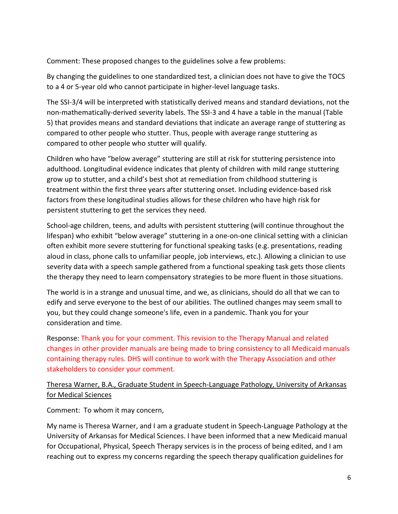Comment: These proposed changes to the guidelines solve a few problems:

By changing the guidelines to one standardized test, a clinician does not have to give the TOCS to a 4 or 5-year old who cannot participate in higher-level language tasks.

The SSI-3/4 will be interpreted with statistically derived means and standard deviations, not the non-mathematically-derived severity labels. The SSI-3 and 4 have a table in the manual (Table 5) that provides means and standard deviations that indicate an average range of stuttering as compared to other people who stutter. Thus, people with average range stuttering as compared to other people who stutter will qualify.

Children who have "below average" stuttering are still at risk for stuttering persistence into adulthood. Longitudinal evidence indicates that plenty of children with mild range stuttering grow up to stutter, and a child's best shot at remediation from childhood stuttering is treatment within the first three years after stuttering onset. Including evidence-based risk factors from these longitudinal studies allows for these children who have high risk for persistent stuttering to get the services they need.

School-age children, teens, and adults with persistent stuttering (will continue throughout the lifespan) who exhibit "below average" stuttering in a one-on-one clinical setting with a clinician often exhibit more severe stuttering for functional speaking tasks (e.g. presentations, reading aloud in class, phone calls to unfamiliar people, job interviews, etc.). Allowing a clinician to use severity data with a speech sample gathered from a functional speaking task gets those clients the therapy they need to learn compensatory strategies to be more fluent in those situations.

The world is in a strange and unusual time, and we, as clinicians, should do all that we can to edify and serve everyone to the best of our abilities. The outlined changes may seem small to you, but they could change someone's life, even in a pandemic. Thank you for your consideration and time.

Response: Thank you for your comment. This revision to the Therapy Manual and related changes in other provider manuals are being made to bring consistency to all Medicaid manuals containing therapy rules. DHS will continue to work with the Therapy Association and other stakeholders to consider your comment.

# Theresa Warner, B.A., Graduate Student in Speech-Language Pathology, University of Arkansas for Medical Sciences

Comment: To whom it may concern,

My name is Theresa Warner, and I am a graduate student in Speech-Language Pathology at the University of Arkansas for Medical Sciences. I have been informed that a new Medicaid manual for Occupational, Physical, Speech Therapy services is in the process of being edited, and I am reaching out to express my concerns regarding the speech therapy qualification guidelines for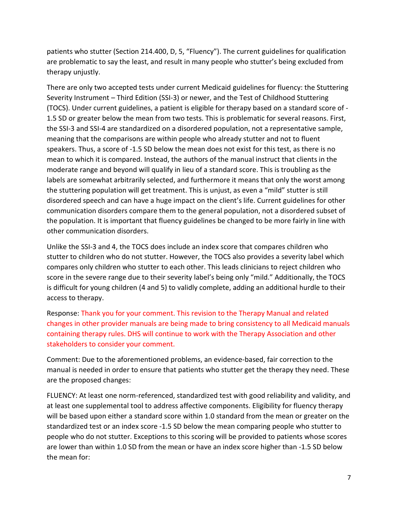patients who stutter (Section 214.400, D, 5, "Fluency"). The current guidelines for qualification are problematic to say the least, and result in many people who stutter's being excluded from therapy unjustly.

There are only two accepted tests under current Medicaid guidelines for fluency: the Stuttering Severity Instrument – Third Edition (SSI-3) or newer, and the Test of Childhood Stuttering (TOCS). Under current guidelines, a patient is eligible for therapy based on a standard score of - 1.5 SD or greater below the mean from two tests. This is problematic for several reasons. First, the SSI-3 and SSI-4 are standardized on a disordered population, not a representative sample, meaning that the comparisons are within people who already stutter and not to fluent speakers. Thus, a score of -1.5 SD below the mean does not exist for this test, as there is no mean to which it is compared. Instead, the authors of the manual instruct that clients in the moderate range and beyond will qualify in lieu of a standard score. This is troubling as the labels are somewhat arbitrarily selected, and furthermore it means that only the worst among the stuttering population will get treatment. This is unjust, as even a "mild" stutter is still disordered speech and can have a huge impact on the client's life. Current guidelines for other communication disorders compare them to the general population, not a disordered subset of the population. It is important that fluency guidelines be changed to be more fairly in line with other communication disorders.

Unlike the SSI-3 and 4, the TOCS does include an index score that compares children who stutter to children who do not stutter. However, the TOCS also provides a severity label which compares only children who stutter to each other. This leads clinicians to reject children who score in the severe range due to their severity label's being only "mild." Additionally, the TOCS is difficult for young children (4 and 5) to validly complete, adding an additional hurdle to their access to therapy.

Response: Thank you for your comment. This revision to the Therapy Manual and related changes in other provider manuals are being made to bring consistency to all Medicaid manuals containing therapy rules. DHS will continue to work with the Therapy Association and other stakeholders to consider your comment.

Comment: Due to the aforementioned problems, an evidence-based, fair correction to the manual is needed in order to ensure that patients who stutter get the therapy they need. These are the proposed changes:

FLUENCY: At least one norm-referenced, standardized test with good reliability and validity, and at least one supplemental tool to address affective components. Eligibility for fluency therapy will be based upon either a standard score within 1.0 standard from the mean or greater on the standardized test or an index score -1.5 SD below the mean comparing people who stutter to people who do not stutter. Exceptions to this scoring will be provided to patients whose scores are lower than within 1.0 SD from the mean or have an index score higher than -1.5 SD below the mean for: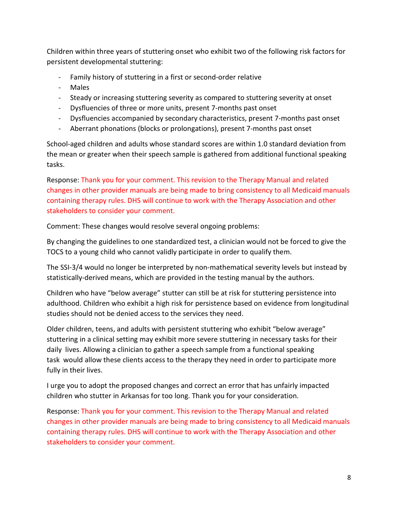Children within three years of stuttering onset who exhibit two of the following risk factors for persistent developmental stuttering:

- Family history of stuttering in a first or second-order relative
- Males
- Steady or increasing stuttering severity as compared to stuttering severity at onset
- Dysfluencies of three or more units, present 7-months past onset
- Dysfluencies accompanied by secondary characteristics, present 7-months past onset
- Aberrant phonations (blocks or prolongations), present 7-months past onset

School-aged children and adults whose standard scores are within 1.0 standard deviation from the mean or greater when their speech sample is gathered from additional functional speaking tasks.

Response: Thank you for your comment. This revision to the Therapy Manual and related changes in other provider manuals are being made to bring consistency to all Medicaid manuals containing therapy rules. DHS will continue to work with the Therapy Association and other stakeholders to consider your comment.

Comment: These changes would resolve several ongoing problems:

By changing the guidelines to one standardized test, a clinician would not be forced to give the TOCS to a young child who cannot validly participate in order to qualify them.

The SSI-3/4 would no longer be interpreted by non-mathematical severity levels but instead by statistically-derived means, which are provided in the testing manual by the authors.

Children who have "below average" stutter can still be at risk for stuttering persistence into adulthood. Children who exhibit a high risk for persistence based on evidence from longitudinal studies should not be denied access to the services they need.

Older children, teens, and adults with persistent stuttering who exhibit "below average" stuttering in a clinical setting may exhibit more severe stuttering in necessary tasks for their daily lives. Allowing a clinician to gather a speech sample from a functional speaking task would allow these clients access to the therapy they need in order to participate more fully in their lives.

I urge you to adopt the proposed changes and correct an error that has unfairly impacted children who stutter in Arkansas for too long. Thank you for your consideration.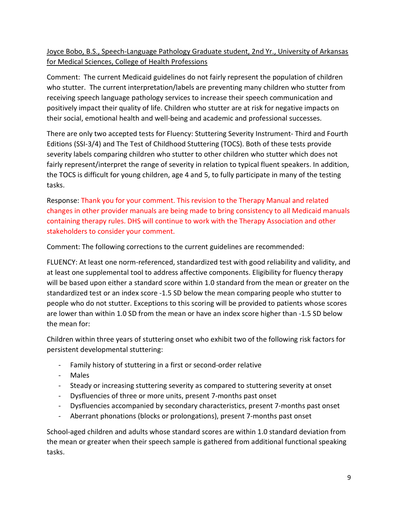# Joyce Bobo, B.S., Speech-Language Pathology Graduate student, 2nd Yr., University of Arkansas for Medical Sciences, College of Health Professions

Comment: The current Medicaid guidelines do not fairly represent the population of children who stutter. The current interpretation/labels are preventing many children who stutter from receiving speech language pathology services to increase their speech communication and positively impact their quality of life. Children who stutter are at risk for negative impacts on their social, emotional health and well-being and academic and professional successes.

There are only two accepted tests for Fluency: Stuttering Severity Instrument- Third and Fourth Editions (SSI-3/4) and The Test of Childhood Stuttering (TOCS). Both of these tests provide severity labels comparing children who stutter to other children who stutter which does not fairly represent/interpret the range of severity in relation to typical fluent speakers. In addition, the TOCS is difficult for young children, age 4 and 5, to fully participate in many of the testing tasks.

Response: Thank you for your comment. This revision to the Therapy Manual and related changes in other provider manuals are being made to bring consistency to all Medicaid manuals containing therapy rules. DHS will continue to work with the Therapy Association and other stakeholders to consider your comment.

Comment: The following corrections to the current guidelines are recommended:

FLUENCY: At least one norm-referenced, standardized test with good reliability and validity, and at least one supplemental tool to address affective components. Eligibility for fluency therapy will be based upon either a standard score within 1.0 standard from the mean or greater on the standardized test or an index score -1.5 SD below the mean comparing people who stutter to people who do not stutter. Exceptions to this scoring will be provided to patients whose scores are lower than within 1.0 SD from the mean or have an index score higher than -1.5 SD below the mean for:

Children within three years of stuttering onset who exhibit two of the following risk factors for persistent developmental stuttering:

- Family history of stuttering in a first or second-order relative
- Males
- Steady or increasing stuttering severity as compared to stuttering severity at onset
- Dysfluencies of three or more units, present 7-months past onset
- Dysfluencies accompanied by secondary characteristics, present 7-months past onset
- Aberrant phonations (blocks or prolongations), present 7-months past onset

School-aged children and adults whose standard scores are within 1.0 standard deviation from the mean or greater when their speech sample is gathered from additional functional speaking tasks.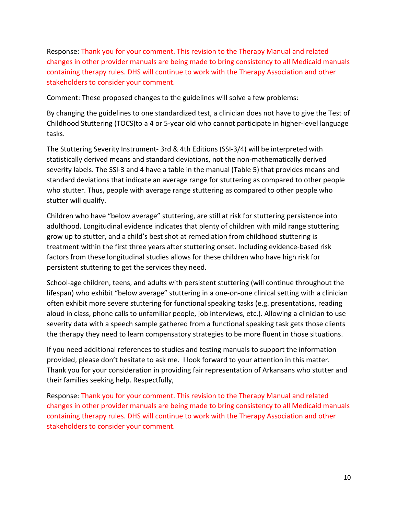Response: Thank you for your comment. This revision to the Therapy Manual and related changes in other provider manuals are being made to bring consistency to all Medicaid manuals containing therapy rules. DHS will continue to work with the Therapy Association and other stakeholders to consider your comment.

Comment: These proposed changes to the guidelines will solve a few problems:

By changing the guidelines to one standardized test, a clinician does not have to give the Test of Childhood Stuttering (TOCS)to a 4 or 5-year old who cannot participate in higher-level language tasks.

The Stuttering Severity Instrument- 3rd & 4th Editions (SSI-3/4) will be interpreted with statistically derived means and standard deviations, not the non-mathematically derived severity labels. The SSI-3 and 4 have a table in the manual (Table 5) that provides means and standard deviations that indicate an average range for stuttering as compared to other people who stutter. Thus, people with average range stuttering as compared to other people who stutter will qualify.

Children who have "below average" stuttering, are still at risk for stuttering persistence into adulthood. Longitudinal evidence indicates that plenty of children with mild range stuttering grow up to stutter, and a child's best shot at remediation from childhood stuttering is treatment within the first three years after stuttering onset. Including evidence-based risk factors from these longitudinal studies allows for these children who have high risk for persistent stuttering to get the services they need.

School-age children, teens, and adults with persistent stuttering (will continue throughout the lifespan) who exhibit "below average" stuttering in a one-on-one clinical setting with a clinician often exhibit more severe stuttering for functional speaking tasks (e.g. presentations, reading aloud in class, phone calls to unfamiliar people, job interviews, etc.). Allowing a clinician to use severity data with a speech sample gathered from a functional speaking task gets those clients the therapy they need to learn compensatory strategies to be more fluent in those situations.

If you need additional references to studies and testing manuals to support the information provided, please don't hesitate to ask me. I look forward to your attention in this matter. Thank you for your consideration in providing fair representation of Arkansans who stutter and their families seeking help. Respectfully,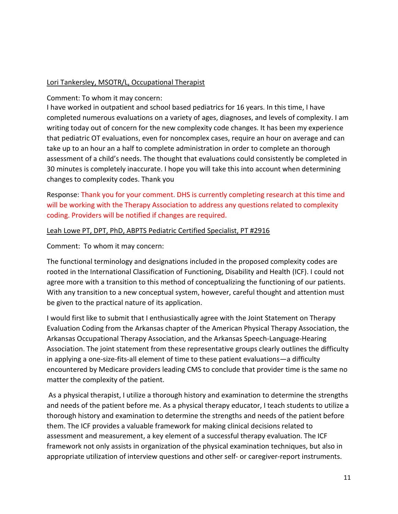### Lori Tankersley, MSOTR/L, Occupational Therapist

Comment: To whom it may concern:

I have worked in outpatient and school based pediatrics for 16 years. In this time, I have completed numerous evaluations on a variety of ages, diagnoses, and levels of complexity. I am writing today out of concern for the new complexity code changes. It has been my experience that pediatric OT evaluations, even for noncomplex cases, require an hour on average and can take up to an hour an a half to complete administration in order to complete an thorough assessment of a child's needs. The thought that evaluations could consistently be completed in 30 minutes is completely inaccurate. I hope you will take this into account when determining changes to complexity codes. Thank you

Response: Thank you for your comment. DHS is currently completing research at this time and will be working with the Therapy Association to address any questions related to complexity coding. Providers will be notified if changes are required.

#### Leah Lowe PT, DPT, PhD, ABPTS Pediatric Certified Specialist, PT #2916

Comment: To whom it may concern:

The functional terminology and designations included in the proposed complexity codes are rooted in the International Classification of Functioning, Disability and Health (ICF). I could not agree more with a transition to this method of conceptualizing the functioning of our patients. With any transition to a new conceptual system, however, careful thought and attention must be given to the practical nature of its application.

I would first like to submit that I enthusiastically agree with the Joint Statement on Therapy Evaluation Coding from the Arkansas chapter of the American Physical Therapy Association, the Arkansas Occupational Therapy Association, and the Arkansas Speech-Language-Hearing Association. The joint statement from these representative groups clearly outlines the difficulty in applying a one-size-fits-all element of time to these patient evaluations—a difficulty encountered by Medicare providers leading CMS to conclude that provider time is the same no matter the complexity of the patient.

 As a physical therapist, I utilize a thorough history and examination to determine the strengths and needs of the patient before me. As a physical therapy educator, I teach students to utilize a thorough history and examination to determine the strengths and needs of the patient before them. The ICF provides a valuable framework for making clinical decisions related to assessment and measurement, a key element of a successful therapy evaluation. The ICF framework not only assists in organization of the physical examination techniques, but also in appropriate utilization of interview questions and other self- or caregiver-report instruments.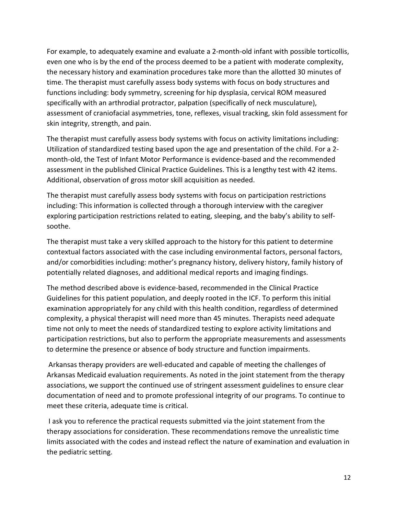For example, to adequately examine and evaluate a 2-month-old infant with possible torticollis, even one who is by the end of the process deemed to be a patient with moderate complexity, the necessary history and examination procedures take more than the allotted 30 minutes of time. The therapist must carefully assess body systems with focus on body structures and functions including: body symmetry, screening for hip dysplasia, cervical ROM measured specifically with an arthrodial protractor, palpation (specifically of neck musculature), assessment of craniofacial asymmetries, tone, reflexes, visual tracking, skin fold assessment for skin integrity, strength, and pain.

The therapist must carefully assess body systems with focus on activity limitations including: Utilization of standardized testing based upon the age and presentation of the child. For a 2 month-old, the Test of Infant Motor Performance is evidence-based and the recommended assessment in the published Clinical Practice Guidelines. This is a lengthy test with 42 items. Additional, observation of gross motor skill acquisition as needed.

The therapist must carefully assess body systems with focus on participation restrictions including: This information is collected through a thorough interview with the caregiver exploring participation restrictions related to eating, sleeping, and the baby's ability to selfsoothe.

The therapist must take a very skilled approach to the history for this patient to determine contextual factors associated with the case including environmental factors, personal factors, and/or comorbidities including: mother's pregnancy history, delivery history, family history of potentially related diagnoses, and additional medical reports and imaging findings.

The method described above is evidence-based, recommended in the Clinical Practice Guidelines for this patient population, and deeply rooted in the ICF. To perform this initial examination appropriately for any child with this health condition, regardless of determined complexity, a physical therapist will need more than 45 minutes. Therapists need adequate time not only to meet the needs of standardized testing to explore activity limitations and participation restrictions, but also to perform the appropriate measurements and assessments to determine the presence or absence of body structure and function impairments.

 Arkansas therapy providers are well-educated and capable of meeting the challenges of Arkansas Medicaid evaluation requirements. As noted in the joint statement from the therapy associations, we support the continued use of stringent assessment guidelines to ensure clear documentation of need and to promote professional integrity of our programs. To continue to meet these criteria, adequate time is critical.

 I ask you to reference the practical requests submitted via the joint statement from the therapy associations for consideration. These recommendations remove the unrealistic time limits associated with the codes and instead reflect the nature of examination and evaluation in the pediatric setting.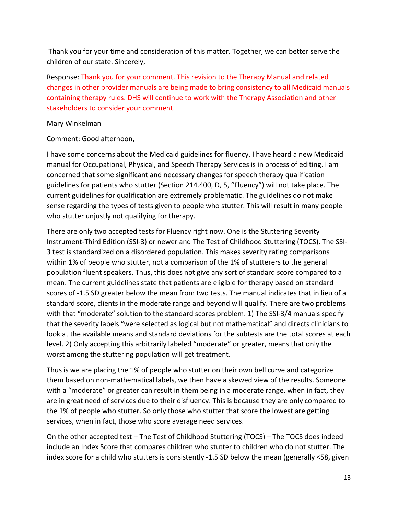Thank you for your time and consideration of this matter. Together, we can better serve the children of our state. Sincerely,

Response: Thank you for your comment. This revision to the Therapy Manual and related changes in other provider manuals are being made to bring consistency to all Medicaid manuals containing therapy rules. DHS will continue to work with the Therapy Association and other stakeholders to consider your comment.

#### Mary Winkelman

### Comment: Good afternoon,

I have some concerns about the Medicaid guidelines for fluency. I have heard a new Medicaid manual for Occupational, Physical, and Speech Therapy Services is in process of editing. I am concerned that some significant and necessary changes for speech therapy qualification guidelines for patients who stutter (Section 214.400, D, 5, "Fluency") will not take place. The current guidelines for qualification are extremely problematic. The guidelines do not make sense regarding the types of tests given to people who stutter. This will result in many people who stutter unjustly not qualifying for therapy.

There are only two accepted tests for Fluency right now. One is the Stuttering Severity Instrument-Third Edition (SSI-3) or newer and The Test of Childhood Stuttering (TOCS). The SSI-3 test is standardized on a disordered population. This makes severity rating comparisons within 1% of people who stutter, not a comparison of the 1% of stutterers to the general population fluent speakers. Thus, this does not give any sort of standard score compared to a mean. The current guidelines state that patients are eligible for therapy based on standard scores of -1.5 SD greater below the mean from two tests. The manual indicates that in lieu of a standard score, clients in the moderate range and beyond will qualify. There are two problems with that "moderate" solution to the standard scores problem. 1) The SSI-3/4 manuals specify that the severity labels "were selected as logical but not mathematical" and directs clinicians to look at the available means and standard deviations for the subtests are the total scores at each level. 2) Only accepting this arbitrarily labeled "moderate" or greater, means that only the worst among the stuttering population will get treatment.

Thus is we are placing the 1% of people who stutter on their own bell curve and categorize them based on non-mathematical labels, we then have a skewed view of the results. Someone with a "moderate" or greater can result in them being in a moderate range, when in fact, they are in great need of services due to their disfluency. This is because they are only compared to the 1% of people who stutter. So only those who stutter that score the lowest are getting services, when in fact, those who score average need services.

On the other accepted test – The Test of Childhood Stuttering (TOCS) – The TOCS does indeed include an Index Score that compares children who stutter to children who do not stutter. The index score for a child who stutters is consistently -1.5 SD below the mean (generally <58, given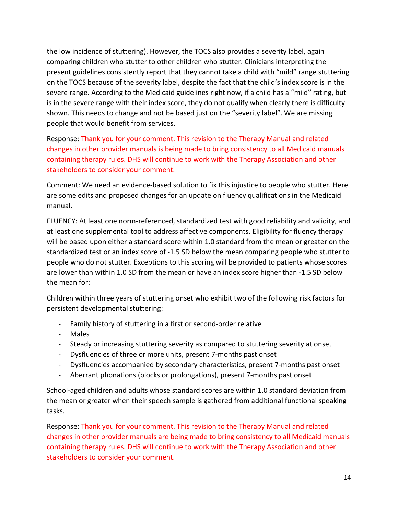the low incidence of stuttering). However, the TOCS also provides a severity label, again comparing children who stutter to other children who stutter. Clinicians interpreting the present guidelines consistently report that they cannot take a child with "mild" range stuttering on the TOCS because of the severity label, despite the fact that the child's index score is in the severe range. According to the Medicaid guidelines right now, if a child has a "mild" rating, but is in the severe range with their index score, they do not qualify when clearly there is difficulty shown. This needs to change and not be based just on the "severity label". We are missing people that would benefit from services.

Response: Thank you for your comment. This revision to the Therapy Manual and related changes in other provider manuals is being made to bring consistency to all Medicaid manuals containing therapy rules. DHS will continue to work with the Therapy Association and other stakeholders to consider your comment.

Comment: We need an evidence-based solution to fix this injustice to people who stutter. Here are some edits and proposed changes for an update on fluency qualifications in the Medicaid manual.

FLUENCY: At least one norm-referenced, standardized test with good reliability and validity, and at least one supplemental tool to address affective components. Eligibility for fluency therapy will be based upon either a standard score within 1.0 standard from the mean or greater on the standardized test or an index score of -1.5 SD below the mean comparing people who stutter to people who do not stutter. Exceptions to this scoring will be provided to patients whose scores are lower than within 1.0 SD from the mean or have an index score higher than -1.5 SD below the mean for:

Children within three years of stuttering onset who exhibit two of the following risk factors for persistent developmental stuttering:

- Family history of stuttering in a first or second-order relative
- Males
- Steady or increasing stuttering severity as compared to stuttering severity at onset
- Dysfluencies of three or more units, present 7-months past onset
- Dysfluencies accompanied by secondary characteristics, present 7-months past onset
- Aberrant phonations (blocks or prolongations), present 7-months past onset

School-aged children and adults whose standard scores are within 1.0 standard deviation from the mean or greater when their speech sample is gathered from additional functional speaking tasks.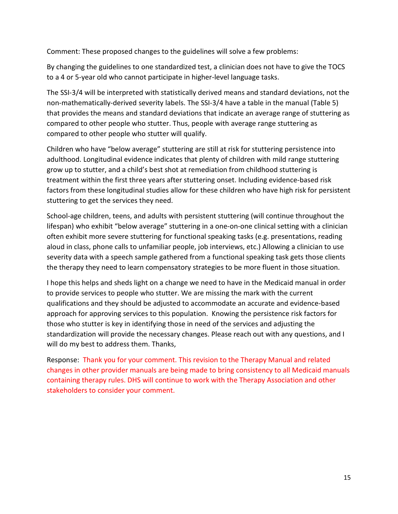Comment: These proposed changes to the guidelines will solve a few problems:

By changing the guidelines to one standardized test, a clinician does not have to give the TOCS to a 4 or 5-year old who cannot participate in higher-level language tasks.

The SSI-3/4 will be interpreted with statistically derived means and standard deviations, not the non-mathematically-derived severity labels. The SSI-3/4 have a table in the manual (Table 5) that provides the means and standard deviations that indicate an average range of stuttering as compared to other people who stutter. Thus, people with average range stuttering as compared to other people who stutter will qualify.

Children who have "below average" stuttering are still at risk for stuttering persistence into adulthood. Longitudinal evidence indicates that plenty of children with mild range stuttering grow up to stutter, and a child's best shot at remediation from childhood stuttering is treatment within the first three years after stuttering onset. Including evidence-based risk factors from these longitudinal studies allow for these children who have high risk for persistent stuttering to get the services they need.

School-age children, teens, and adults with persistent stuttering (will continue throughout the lifespan) who exhibit "below average" stuttering in a one-on-one clinical setting with a clinician often exhibit more severe stuttering for functional speaking tasks (e.g. presentations, reading aloud in class, phone calls to unfamiliar people, job interviews, etc.) Allowing a clinician to use severity data with a speech sample gathered from a functional speaking task gets those clients the therapy they need to learn compensatory strategies to be more fluent in those situation.

I hope this helps and sheds light on a change we need to have in the Medicaid manual in order to provide services to people who stutter. We are missing the mark with the current qualifications and they should be adjusted to accommodate an accurate and evidence-based approach for approving services to this population. Knowing the persistence risk factors for those who stutter is key in identifying those in need of the services and adjusting the standardization will provide the necessary changes. Please reach out with any questions, and I will do my best to address them. Thanks,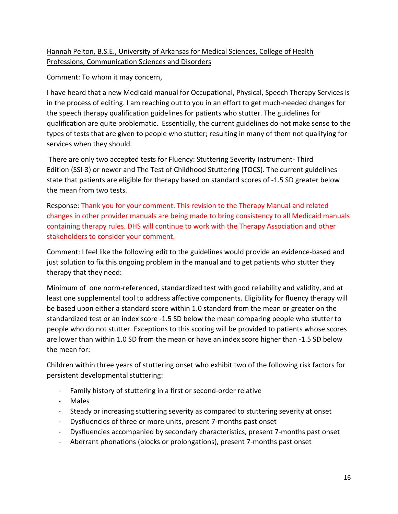# Hannah Pelton, B.S.E., University of Arkansas for Medical Sciences, College of Health Professions, Communication Sciences and Disorders

Comment: To whom it may concern,

I have heard that a new Medicaid manual for Occupational, Physical, Speech Therapy Services is in the process of editing. I am reaching out to you in an effort to get much-needed changes for the speech therapy qualification guidelines for patients who stutter. The guidelines for qualification are quite problematic. Essentially, the current guidelines do not make sense to the types of tests that are given to people who stutter; resulting in many of them not qualifying for services when they should.

 There are only two accepted tests for Fluency: Stuttering Severity Instrument- Third Edition (SSI-3) or newer and The Test of Childhood Stuttering (TOCS). The current guidelines state that patients are eligible for therapy based on standard scores of -1.5 SD greater below the mean from two tests.

Response: Thank you for your comment. This revision to the Therapy Manual and related changes in other provider manuals are being made to bring consistency to all Medicaid manuals containing therapy rules. DHS will continue to work with the Therapy Association and other stakeholders to consider your comment.

Comment: I feel like the following edit to the guidelines would provide an evidence-based and just solution to fix this ongoing problem in the manual and to get patients who stutter they therapy that they need:

Minimum of one norm-referenced, standardized test with good reliability and validity, and at least one supplemental tool to address affective components. Eligibility for fluency therapy will be based upon either a standard score within 1.0 standard from the mean or greater on the standardized test or an index score -1.5 SD below the mean comparing people who stutter to people who do not stutter. Exceptions to this scoring will be provided to patients whose scores are lower than within 1.0 SD from the mean or have an index score higher than -1.5 SD below the mean for:

Children within three years of stuttering onset who exhibit two of the following risk factors for persistent developmental stuttering:

- Family history of stuttering in a first or second-order relative
- Males
- Steady or increasing stuttering severity as compared to stuttering severity at onset
- Dysfluencies of three or more units, present 7-months past onset
- Dysfluencies accompanied by secondary characteristics, present 7-months past onset
- Aberrant phonations (blocks or prolongations), present 7-months past onset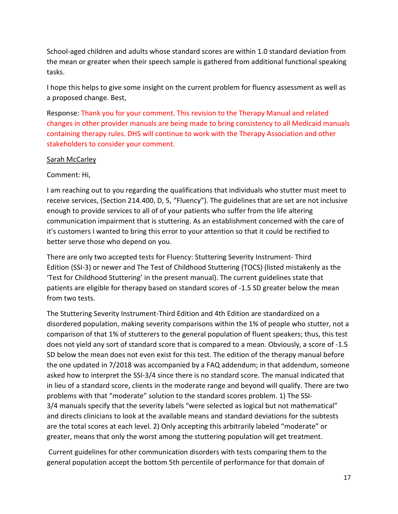School-aged children and adults whose standard scores are within 1.0 standard deviation from the mean or greater when their speech sample is gathered from additional functional speaking tasks.

I hope this helps to give some insight on the current problem for fluency assessment as well as a proposed change. Best,

Response: Thank you for your comment. This revision to the Therapy Manual and related changes in other provider manuals are being made to bring consistency to all Medicaid manuals containing therapy rules. DHS will continue to work with the Therapy Association and other stakeholders to consider your comment.

#### Sarah McCarley

### Comment: Hi,

I am reaching out to you regarding the qualifications that individuals who stutter must meet to receive services, (Section 214.400, D, 5, "Fluency"). The guidelines that are set are not inclusive enough to provide services to all of of your patients who suffer from the life altering communication impairment that is stuttering. As an establishment concerned with the care of it's customers I wanted to bring this error to your attention so that it could be rectified to better serve those who depend on you.

There are only two accepted tests for Fluency: Stuttering Severity Instrument- Third Edition (SSI-3) or newer and The Test of Childhood Stuttering (TOCS) (listed mistakenly as the 'Test for Childhood Stuttering' in the present manual). The current guidelines state that patients are eligible for therapy based on standard scores of -1.5 SD greater below the mean from two tests.

The Stuttering Severity Instrument-Third Edition and 4th Edition are standardized on a disordered population, making severity comparisons within the 1% of people who stutter, not a comparison of that 1% of stutterers to the general population of fluent speakers; thus, this test does not yield any sort of standard score that is compared to a mean. Obviously, a score of -1.5 SD below the mean does not even exist for this test. The edition of the therapy manual before the one updated in 7/2018 was accompanied by a FAQ addendum; in that addendum, someone asked how to interpret the SSI-3/4 since there is no standard score. The manual indicated that in lieu of a standard score, clients in the moderate range and beyond will qualify. There are two problems with that "moderate" solution to the standard scores problem. 1) The SSI-3/4 manuals specify that the severity labels "were selected as logical but not mathematical" and directs clinicians to look at the available means and standard deviations for the subtests are the total scores at each level. 2) Only accepting this arbitrarily labeled "moderate" or greater, means that only the worst among the stuttering population will get treatment.

 Current guidelines for other communication disorders with tests comparing them to the general population accept the bottom 5th percentile of performance for that domain of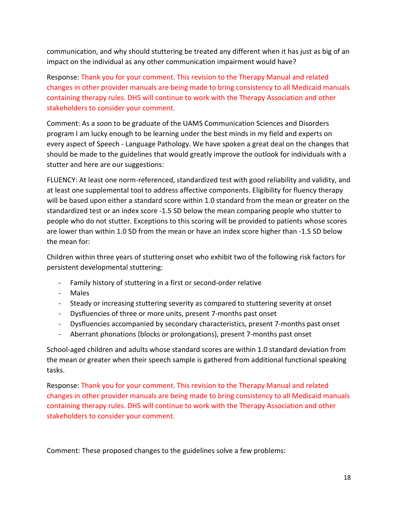communication, and why should stuttering be treated any different when it has just as big of an impact on the individual as any other communication impairment would have?

Response: Thank you for your comment. This revision to the Therapy Manual and related changes in other provider manuals are being made to bring consistency to all Medicaid manuals containing therapy rules. DHS will continue to work with the Therapy Association and other stakeholders to consider your comment.

Comment: As a soon to be graduate of the UAMS Communication Sciences and Disorders program I am lucky enough to be learning under the best minds in my field and experts on every aspect of Speech - Language Pathology. We have spoken a great deal on the changes that should be made to the guidelines that would greatly improve the outlook for individuals with a stutter and here are our suggestions:

FLUENCY: At least one norm-referenced, standardized test with good reliability and validity, and at least one supplemental tool to address affective components. Eligibility for fluency therapy will be based upon either a standard score within 1.0 standard from the mean or greater on the standardized test or an index score -1.5 SD below the mean comparing people who stutter to people who do not stutter. Exceptions to this scoring will be provided to patients whose scores are lower than within 1.0 SD from the mean or have an index score higher than -1.5 SD below the mean for:

Children within three years of stuttering onset who exhibit two of the following risk factors for persistent developmental stuttering:

- Family history of stuttering in a first or second-order relative
- Males
- Steady or increasing stuttering severity as compared to stuttering severity at onset
- Dysfluencies of three or more units, present 7-months past onset
- Dysfluencies accompanied by secondary characteristics, present 7-months past onset
- Aberrant phonations (blocks or prolongations), present 7-months past onset

School-aged children and adults whose standard scores are within 1.0 standard deviation from the mean or greater when their speech sample is gathered from additional functional speaking tasks.

Response: Thank you for your comment. This revision to the Therapy Manual and related changes in other provider manuals are being made to bring consistency to all Medicaid manuals containing therapy rules. DHS will continue to work with the Therapy Association and other stakeholders to consider your comment.

Comment: These proposed changes to the guidelines solve a few problems: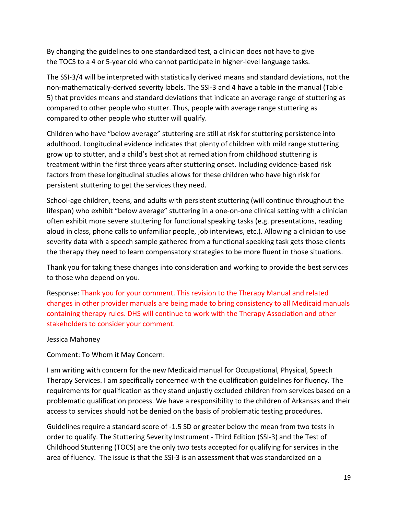By changing the guidelines to one standardized test, a clinician does not have to give the TOCS to a 4 or 5-year old who cannot participate in higher-level language tasks.

The SSI-3/4 will be interpreted with statistically derived means and standard deviations, not the non-mathematically-derived severity labels. The SSI-3 and 4 have a table in the manual (Table 5) that provides means and standard deviations that indicate an average range of stuttering as compared to other people who stutter. Thus, people with average range stuttering as compared to other people who stutter will qualify.

Children who have "below average" stuttering are still at risk for stuttering persistence into adulthood. Longitudinal evidence indicates that plenty of children with mild range stuttering grow up to stutter, and a child's best shot at remediation from childhood stuttering is treatment within the first three years after stuttering onset. Including evidence-based risk factors from these longitudinal studies allows for these children who have high risk for persistent stuttering to get the services they need.

School-age children, teens, and adults with persistent stuttering (will continue throughout the lifespan) who exhibit "below average" stuttering in a one-on-one clinical setting with a clinician often exhibit more severe stuttering for functional speaking tasks (e.g. presentations, reading aloud in class, phone calls to unfamiliar people, job interviews, etc.). Allowing a clinician to use severity data with a speech sample gathered from a functional speaking task gets those clients the therapy they need to learn compensatory strategies to be more fluent in those situations.

Thank you for taking these changes into consideration and working to provide the best services to those who depend on you.

Response: Thank you for your comment. This revision to the Therapy Manual and related changes in other provider manuals are being made to bring consistency to all Medicaid manuals containing therapy rules. DHS will continue to work with the Therapy Association and other stakeholders to consider your comment.

#### Jessica Mahoney

Comment: To Whom it May Concern:

I am writing with concern for the new Medicaid manual for Occupational, Physical, Speech Therapy Services. I am specifically concerned with the qualification guidelines for fluency. The requirements for qualification as they stand unjustly excluded children from services based on a problematic qualification process. We have a responsibility to the children of Arkansas and their access to services should not be denied on the basis of problematic testing procedures.

Guidelines require a standard score of -1.5 SD or greater below the mean from two tests in order to qualify. The Stuttering Severity Instrument - Third Edition (SSI-3) and the Test of Childhood Stuttering (TOCS) are the only two tests accepted for qualifying for services in the area of fluency. The issue is that the SSI-3 is an assessment that was standardized on a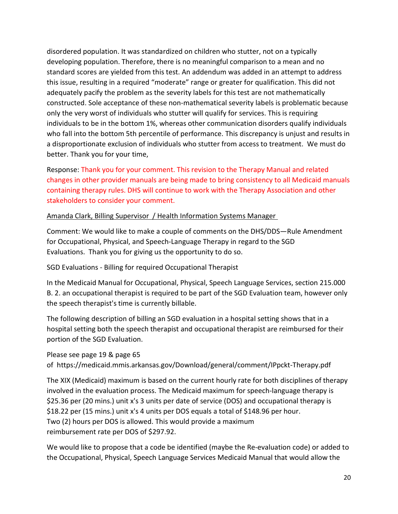disordered population. It was standardized on children who stutter, not on a typically developing population. Therefore, there is no meaningful comparison to a mean and no standard scores are yielded from this test. An addendum was added in an attempt to address this issue, resulting in a required "moderate" range or greater for qualification. This did not adequately pacify the problem as the severity labels for this test are not mathematically constructed. Sole acceptance of these non-mathematical severity labels is problematic because only the very worst of individuals who stutter will qualify for services. This is requiring individuals to be in the bottom 1%, whereas other communication disorders qualify individuals who fall into the bottom 5th percentile of performance. This discrepancy is unjust and results in a disproportionate exclusion of individuals who stutter from access to treatment. We must do better. Thank you for your time,

Response: Thank you for your comment. This revision to the Therapy Manual and related changes in other provider manuals are being made to bring consistency to all Medicaid manuals containing therapy rules. DHS will continue to work with the Therapy Association and other stakeholders to consider your comment.

# Amanda Clark, Billing Supervisor / Health Information Systems Manager

Comment: We would like to make a couple of comments on the DHS/DDS—Rule Amendment for Occupational, Physical, and Speech-Language Therapy in regard to the SGD Evaluations. Thank you for giving us the opportunity to do so.

SGD Evaluations - Billing for required Occupational Therapist

In the Medicaid Manual for Occupational, Physical, Speech Language Services, section 215.000 B. 2. an occupational therapist is required to be part of the SGD Evaluation team, however only the speech therapist's time is currently billable.

The following description of billing an SGD evaluation in a hospital setting shows that in a hospital setting both the speech therapist and occupational therapist are reimbursed for their portion of the SGD Evaluation.

Please see page 19 & page 65

of https://medicaid.mmis.arkansas.gov/Download/general/comment/IPpckt-Therapy.pdf

The XIX (Medicaid) maximum is based on the current hourly rate for both disciplines of therapy involved in the evaluation process. The Medicaid maximum for speech-language therapy is \$25.36 per (20 mins.) unit x's 3 units per date of service (DOS) and occupational therapy is \$18.22 per (15 mins.) unit x's 4 units per DOS equals a total of \$148.96 per hour. Two (2) hours per DOS is allowed. This would provide a maximum reimbursement rate per DOS of \$297.92.

We would like to propose that a code be identified (maybe the Re-evaluation code) or added to the Occupational, Physical, Speech Language Services Medicaid Manual that would allow the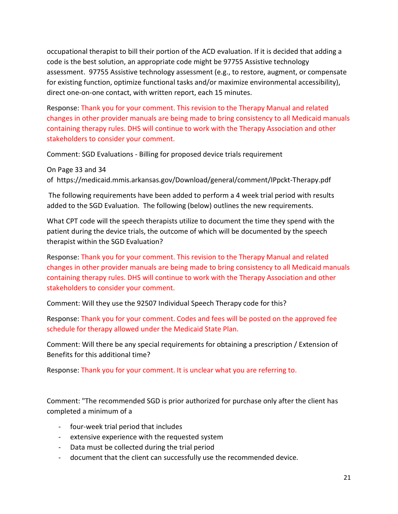occupational therapist to bill their portion of the ACD evaluation. If it is decided that adding a code is the best solution, an appropriate code might be 97755 Assistive technology assessment. 97755 Assistive technology assessment (e.g., to restore, augment, or compensate for existing function, optimize functional tasks and/or maximize environmental accessibility), direct one-on-one contact, with written report, each 15 minutes.

Response: Thank you for your comment. This revision to the Therapy Manual and related changes in other provider manuals are being made to bring consistency to all Medicaid manuals containing therapy rules. DHS will continue to work with the Therapy Association and other stakeholders to consider your comment.

Comment: SGD Evaluations - Billing for proposed device trials requirement

On Page 33 and 34 of https://medicaid.mmis.arkansas.gov/Download/general/comment/IPpckt-Therapy.pdf

 The following requirements have been added to perform a 4 week trial period with results added to the SGD Evaluation. The following (below) outlines the new requirements.

What CPT code will the speech therapists utilize to document the time they spend with the patient during the device trials, the outcome of which will be documented by the speech therapist within the SGD Evaluation?

Response: Thank you for your comment. This revision to the Therapy Manual and related changes in other provider manuals are being made to bring consistency to all Medicaid manuals containing therapy rules. DHS will continue to work with the Therapy Association and other stakeholders to consider your comment.

Comment: Will they use the 92507 Individual Speech Therapy code for this?

Response: Thank you for your comment. Codes and fees will be posted on the approved fee schedule for therapy allowed under the Medicaid State Plan.

Comment: Will there be any special requirements for obtaining a prescription / Extension of Benefits for this additional time?

Response: Thank you for your comment. It is unclear what you are referring to.

Comment: "The recommended SGD is prior authorized for purchase only after the client has completed a minimum of a

- four-week trial period that includes
- extensive experience with the requested system
- Data must be collected during the trial period
- document that the client can successfully use the recommended device.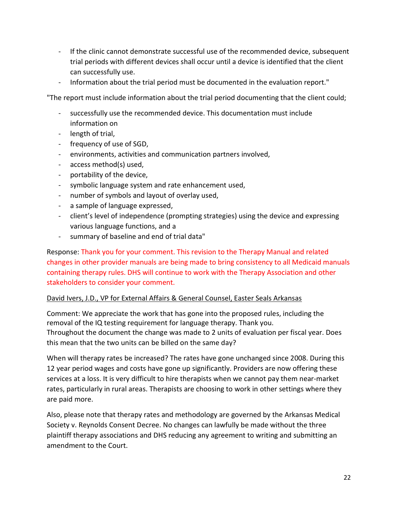- If the clinic cannot demonstrate successful use of the recommended device, subsequent trial periods with different devices shall occur until a device is identified that the client can successfully use.
- Information about the trial period must be documented in the evaluation report."

"The report must include information about the trial period documenting that the client could;

- successfully use the recommended device. This documentation must include information on
- length of trial,
- frequency of use of SGD,
- environments, activities and communication partners involved,
- access method(s) used,
- portability of the device,
- symbolic language system and rate enhancement used,
- number of symbols and layout of overlay used,
- a sample of language expressed,
- client's level of independence (prompting strategies) using the device and expressing various language functions, and a
- summary of baseline and end of trial data"

Response: Thank you for your comment. This revision to the Therapy Manual and related changes in other provider manuals are being made to bring consistency to all Medicaid manuals containing therapy rules. DHS will continue to work with the Therapy Association and other stakeholders to consider your comment.

# David Ivers, J.D., VP for External Affairs & General Counsel, Easter Seals Arkansas

Comment: We appreciate the work that has gone into the proposed rules, including the removal of the IQ testing requirement for language therapy. Thank you. Throughout the document the change was made to 2 units of evaluation per fiscal year. Does this mean that the two units can be billed on the same day?

When will therapy rates be increased? The rates have gone unchanged since 2008. During this 12 year period wages and costs have gone up significantly. Providers are now offering these services at a loss. It is very difficult to hire therapists when we cannot pay them near-market rates, particularly in rural areas. Therapists are choosing to work in other settings where they are paid more.

Also, please note that therapy rates and methodology are governed by the Arkansas Medical Society v. Reynolds Consent Decree. No changes can lawfully be made without the three plaintiff therapy associations and DHS reducing any agreement to writing and submitting an amendment to the Court.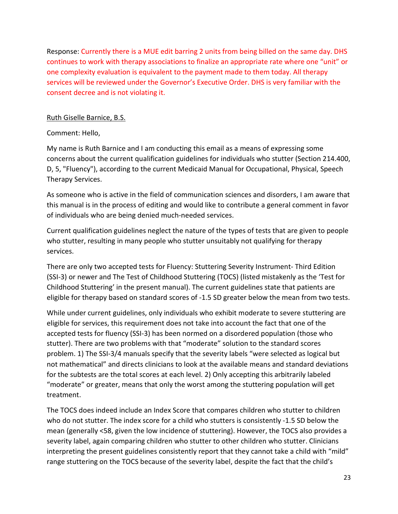Response: Currently there is a MUE edit barring 2 units from being billed on the same day. DHS continues to work with therapy associations to finalize an appropriate rate where one "unit" or one complexity evaluation is equivalent to the payment made to them today. All therapy services will be reviewed under the Governor's Executive Order. DHS is very familiar with the consent decree and is not violating it.

## Ruth Giselle Barnice, B.S.

# Comment: Hello,

My name is Ruth Barnice and I am conducting this email as a means of expressing some concerns about the current qualification guidelines for individuals who stutter (Section 214.400, D, 5, "Fluency"), according to the current Medicaid Manual for Occupational, Physical, Speech Therapy Services.

As someone who is active in the field of communication sciences and disorders, I am aware that this manual is in the process of editing and would like to contribute a general comment in favor of individuals who are being denied much-needed services.

Current qualification guidelines neglect the nature of the types of tests that are given to people who stutter, resulting in many people who stutter unsuitably not qualifying for therapy services.

There are only two accepted tests for Fluency: Stuttering Severity Instrument- Third Edition (SSI-3) or newer and The Test of Childhood Stuttering (TOCS) (listed mistakenly as the 'Test for Childhood Stuttering' in the present manual). The current guidelines state that patients are eligible for therapy based on standard scores of -1.5 SD greater below the mean from two tests.

While under current guidelines, only individuals who exhibit moderate to severe stuttering are eligible for services, this requirement does not take into account the fact that one of the accepted tests for fluency (SSI-3) has been normed on a disordered population (those who stutter). There are two problems with that "moderate" solution to the standard scores problem. 1) The SSI-3/4 manuals specify that the severity labels "were selected as logical but not mathematical" and directs clinicians to look at the available means and standard deviations for the subtests are the total scores at each level. 2) Only accepting this arbitrarily labeled "moderate" or greater, means that only the worst among the stuttering population will get treatment.

The TOCS does indeed include an Index Score that compares children who stutter to children who do not stutter. The index score for a child who stutters is consistently -1.5 SD below the mean (generally <58, given the low incidence of stuttering). However, the TOCS also provides a severity label, again comparing children who stutter to other children who stutter. Clinicians interpreting the present guidelines consistently report that they cannot take a child with "mild" range stuttering on the TOCS because of the severity label, despite the fact that the child's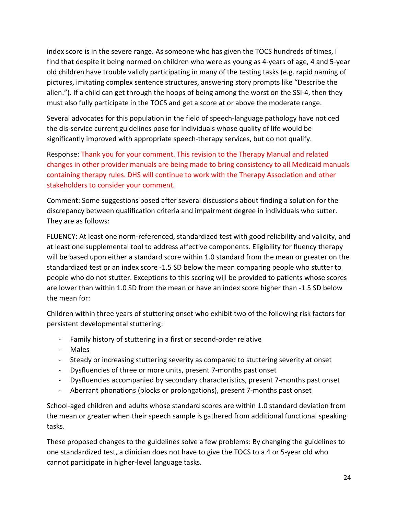index score is in the severe range. As someone who has given the TOCS hundreds of times, I find that despite it being normed on children who were as young as 4-years of age, 4 and 5-year old children have trouble validly participating in many of the testing tasks (e.g. rapid naming of pictures, imitating complex sentence structures, answering story prompts like "Describe the alien."). If a child can get through the hoops of being among the worst on the SSI-4, then they must also fully participate in the TOCS and get a score at or above the moderate range.

Several advocates for this population in the field of speech-language pathology have noticed the dis-service current guidelines pose for individuals whose quality of life would be significantly improved with appropriate speech-therapy services, but do not qualify.

Response: Thank you for your comment. This revision to the Therapy Manual and related changes in other provider manuals are being made to bring consistency to all Medicaid manuals containing therapy rules. DHS will continue to work with the Therapy Association and other stakeholders to consider your comment.

Comment: Some suggestions posed after several discussions about finding a solution for the discrepancy between qualification criteria and impairment degree in individuals who sutter. They are as follows:

FLUENCY: At least one norm-referenced, standardized test with good reliability and validity, and at least one supplemental tool to address affective components. Eligibility for fluency therapy will be based upon either a standard score within 1.0 standard from the mean or greater on the standardized test or an index score -1.5 SD below the mean comparing people who stutter to people who do not stutter. Exceptions to this scoring will be provided to patients whose scores are lower than within 1.0 SD from the mean or have an index score higher than -1.5 SD below the mean for:

Children within three years of stuttering onset who exhibit two of the following risk factors for persistent developmental stuttering:

- Family history of stuttering in a first or second-order relative
- Males
- Steady or increasing stuttering severity as compared to stuttering severity at onset
- Dysfluencies of three or more units, present 7-months past onset
- Dysfluencies accompanied by secondary characteristics, present 7-months past onset
- Aberrant phonations (blocks or prolongations), present 7-months past onset

School-aged children and adults whose standard scores are within 1.0 standard deviation from the mean or greater when their speech sample is gathered from additional functional speaking tasks.

These proposed changes to the guidelines solve a few problems: By changing the guidelines to one standardized test, a clinician does not have to give the TOCS to a 4 or 5-year old who cannot participate in higher-level language tasks.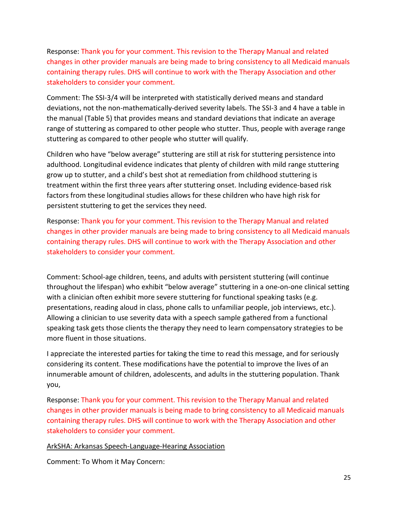Response: Thank you for your comment. This revision to the Therapy Manual and related changes in other provider manuals are being made to bring consistency to all Medicaid manuals containing therapy rules. DHS will continue to work with the Therapy Association and other stakeholders to consider your comment.

Comment: The SSI-3/4 will be interpreted with statistically derived means and standard deviations, not the non-mathematically-derived severity labels. The SSI-3 and 4 have a table in the manual (Table 5) that provides means and standard deviations that indicate an average range of stuttering as compared to other people who stutter. Thus, people with average range stuttering as compared to other people who stutter will qualify.

Children who have "below average" stuttering are still at risk for stuttering persistence into adulthood. Longitudinal evidence indicates that plenty of children with mild range stuttering grow up to stutter, and a child's best shot at remediation from childhood stuttering is treatment within the first three years after stuttering onset. Including evidence-based risk factors from these longitudinal studies allows for these children who have high risk for persistent stuttering to get the services they need.

Response: Thank you for your comment. This revision to the Therapy Manual and related changes in other provider manuals are being made to bring consistency to all Medicaid manuals containing therapy rules. DHS will continue to work with the Therapy Association and other stakeholders to consider your comment.

Comment: School-age children, teens, and adults with persistent stuttering (will continue throughout the lifespan) who exhibit "below average" stuttering in a one-on-one clinical setting with a clinician often exhibit more severe stuttering for functional speaking tasks (e.g. presentations, reading aloud in class, phone calls to unfamiliar people, job interviews, etc.). Allowing a clinician to use severity data with a speech sample gathered from a functional speaking task gets those clients the therapy they need to learn compensatory strategies to be more fluent in those situations.

I appreciate the interested parties for taking the time to read this message, and for seriously considering its content. These modifications have the potential to improve the lives of an innumerable amount of children, adolescents, and adults in the stuttering population. Thank you,

Response: Thank you for your comment. This revision to the Therapy Manual and related changes in other provider manuals is being made to bring consistency to all Medicaid manuals containing therapy rules. DHS will continue to work with the Therapy Association and other stakeholders to consider your comment.

#### ArkSHA: Arkansas Speech-Language-Hearing Association

Comment: To Whom it May Concern: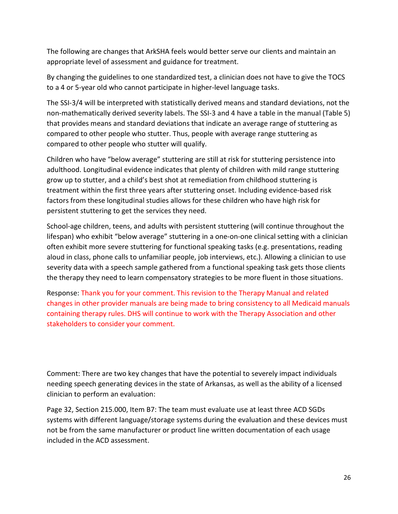The following are changes that ArkSHA feels would better serve our clients and maintain an appropriate level of assessment and guidance for treatment.

By changing the guidelines to one standardized test, a clinician does not have to give the TOCS to a 4 or 5-year old who cannot participate in higher-level language tasks.

The SSI-3/4 will be interpreted with statistically derived means and standard deviations, not the non-mathematically derived severity labels. The SSI-3 and 4 have a table in the manual (Table 5) that provides means and standard deviations that indicate an average range of stuttering as compared to other people who stutter. Thus, people with average range stuttering as compared to other people who stutter will qualify.

Children who have "below average" stuttering are still at risk for stuttering persistence into adulthood. Longitudinal evidence indicates that plenty of children with mild range stuttering grow up to stutter, and a child's best shot at remediation from childhood stuttering is treatment within the first three years after stuttering onset. Including evidence-based risk factors from these longitudinal studies allows for these children who have high risk for persistent stuttering to get the services they need.

School-age children, teens, and adults with persistent stuttering (will continue throughout the lifespan) who exhibit "below average" stuttering in a one-on-one clinical setting with a clinician often exhibit more severe stuttering for functional speaking tasks (e.g. presentations, reading aloud in class, phone calls to unfamiliar people, job interviews, etc.). Allowing a clinician to use severity data with a speech sample gathered from a functional speaking task gets those clients the therapy they need to learn compensatory strategies to be more fluent in those situations.

Response: Thank you for your comment. This revision to the Therapy Manual and related changes in other provider manuals are being made to bring consistency to all Medicaid manuals containing therapy rules. DHS will continue to work with the Therapy Association and other stakeholders to consider your comment.

Comment: There are two key changes that have the potential to severely impact individuals needing speech generating devices in the state of Arkansas, as well as the ability of a licensed clinician to perform an evaluation:

Page 32, Section 215.000, Item B7: The team must evaluate use at least three ACD SGDs systems with different language/storage systems during the evaluation and these devices must not be from the same manufacturer or product line written documentation of each usage included in the ACD assessment.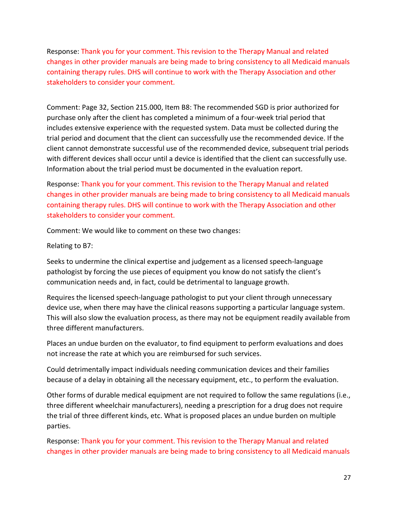Response: Thank you for your comment. This revision to the Therapy Manual and related changes in other provider manuals are being made to bring consistency to all Medicaid manuals containing therapy rules. DHS will continue to work with the Therapy Association and other stakeholders to consider your comment.

Comment: Page 32, Section 215.000, Item B8: The recommended SGD is prior authorized for purchase only after the client has completed a minimum of a four-week trial period that includes extensive experience with the requested system. Data must be collected during the trial period and document that the client can successfully use the recommended device. If the client cannot demonstrate successful use of the recommended device, subsequent trial periods with different devices shall occur until a device is identified that the client can successfully use. Information about the trial period must be documented in the evaluation report.

Response: Thank you for your comment. This revision to the Therapy Manual and related changes in other provider manuals are being made to bring consistency to all Medicaid manuals containing therapy rules. DHS will continue to work with the Therapy Association and other stakeholders to consider your comment.

Comment: We would like to comment on these two changes:

Relating to B7:

Seeks to undermine the clinical expertise and judgement as a licensed speech-language pathologist by forcing the use pieces of equipment you know do not satisfy the client's communication needs and, in fact, could be detrimental to language growth.

Requires the licensed speech-language pathologist to put your client through unnecessary device use, when there may have the clinical reasons supporting a particular language system. This will also slow the evaluation process, as there may not be equipment readily available from three different manufacturers.

Places an undue burden on the evaluator, to find equipment to perform evaluations and does not increase the rate at which you are reimbursed for such services.

Could detrimentally impact individuals needing communication devices and their families because of a delay in obtaining all the necessary equipment, etc., to perform the evaluation.

Other forms of durable medical equipment are not required to follow the same regulations (i.e., three different wheelchair manufacturers), needing a prescription for a drug does not require the trial of three different kinds, etc. What is proposed places an undue burden on multiple parties.

Response: Thank you for your comment. This revision to the Therapy Manual and related changes in other provider manuals are being made to bring consistency to all Medicaid manuals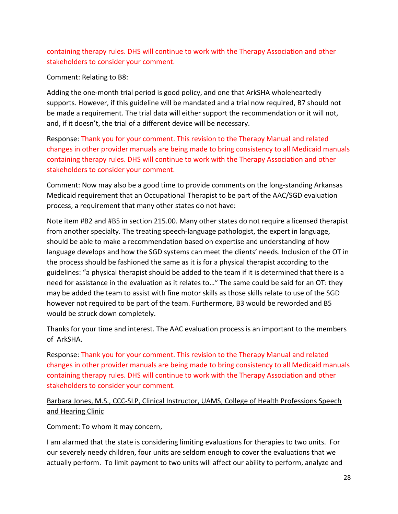# containing therapy rules. DHS will continue to work with the Therapy Association and other stakeholders to consider your comment.

Comment: Relating to B8:

Adding the one-month trial period is good policy, and one that ArkSHA wholeheartedly supports. However, if this guideline will be mandated and a trial now required, B7 should not be made a requirement. The trial data will either support the recommendation or it will not, and, if it doesn't, the trial of a different device will be necessary.

Response: Thank you for your comment. This revision to the Therapy Manual and related changes in other provider manuals are being made to bring consistency to all Medicaid manuals containing therapy rules. DHS will continue to work with the Therapy Association and other stakeholders to consider your comment.

Comment: Now may also be a good time to provide comments on the long-standing Arkansas Medicaid requirement that an Occupational Therapist to be part of the AAC/SGD evaluation process, a requirement that many other states do not have:

Note item #B2 and #B5 in section 215.00. Many other states do not require a licensed therapist from another specialty. The treating speech-language pathologist, the expert in language, should be able to make a recommendation based on expertise and understanding of how language develops and how the SGD systems can meet the clients' needs. Inclusion of the OT in the process should be fashioned the same as it is for a physical therapist according to the guidelines: "a physical therapist should be added to the team if it is determined that there is a need for assistance in the evaluation as it relates to…" The same could be said for an OT: they may be added the team to assist with fine motor skills as those skills relate to use of the SGD however not required to be part of the team. Furthermore, B3 would be reworded and B5 would be struck down completely.

Thanks for your time and interest. The AAC evaluation process is an important to the members of ArkSHA.

Response: Thank you for your comment. This revision to the Therapy Manual and related changes in other provider manuals are being made to bring consistency to all Medicaid manuals containing therapy rules. DHS will continue to work with the Therapy Association and other stakeholders to consider your comment.

# Barbara Jones, M.S., CCC-SLP, Clinical Instructor, UAMS, College of Health Professions Speech and Hearing Clinic

Comment: To whom it may concern,

I am alarmed that the state is considering limiting evaluations for therapies to two units. For our severely needy children, four units are seldom enough to cover the evaluations that we actually perform. To limit payment to two units will affect our ability to perform, analyze and